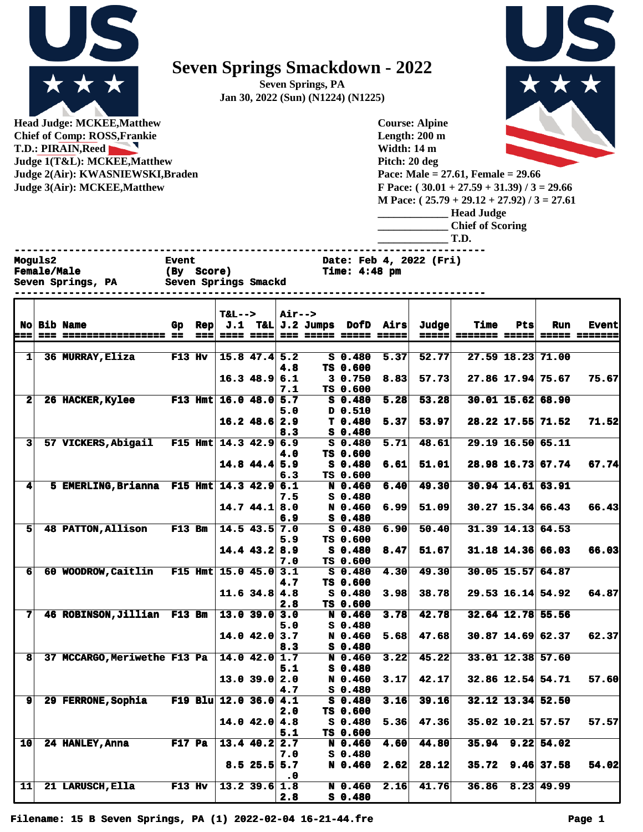

## **Seven Springs Smackdown - 2022**

**Seven Springs, PA Jan 30, 2022 (Sun) (N1224) (N1225)**



**Head Judge: MCKEE,Matthew Chief of Comp: ROSS,Frankie T.D.: PIRAIN,Reed Judge 1(T&L): MCKEE,Matthew Judge 2(Air): KWASNIEWSKI,Braden Judge 3(Air): MCKEE,Matthew** 

**Course: Alpine Length: 200 m Width: 14 m Pitch: 20 deg Pace: Male = 27.61, Female = 29.66 F Pace: ( 30.01 + 27.59 + 31.39) / 3 = 29.66 M Pace: ( 25.79 + 29.12 + 27.92) / 3 = 27.61**

| <b>Head Judge</b>       |
|-------------------------|
| <b>Chief of Scoring</b> |
| T.D.                    |

(By Score) Time: 4:48 pm

**------------------------------------------------------------------------------**

**Moguls2 Event Date: Feb 4, 2022 (Fri)**<br> **Female/Male** (Ry Score) **Date: Feb 4, 2022 (Fri)** 

| <b>remaie/maie</b> |                         |  |
|--------------------|-------------------------|--|
|                    | <b>Seven Springs, P</b> |  |

**PA** Seven Springs

| <b>GIC/MGIC</b> | .<br>,,,,,,,,,       | TTMC . I'LD MM |
|-----------------|----------------------|----------------|
| en Springs, PA  | Seven Springs Smackd |                |
|                 |                      |                |

|                |                                           |               |                    | $T&L-->$                |                     | <b>Air--&gt;</b> |                                                          |      |                          |                              |     |                     |                               |
|----------------|-------------------------------------------|---------------|--------------------|-------------------------|---------------------|------------------|----------------------------------------------------------|------|--------------------------|------------------------------|-----|---------------------|-------------------------------|
| $=$            | <b>No Bib Name</b>                        | Gp.           | <b>Rep</b><br>$==$ |                         | ---- ----           |                  | $J.1$ T&L $J.2$ Jumps DofD Airs<br>--- ----- ----- ----- |      | <b>Judge</b><br>$= 2222$ | <b>Time</b><br>======= ===== | Pts | Run                 | <b>Event</b><br>===== ======= |
|                |                                           |               |                    |                         |                     |                  |                                                          |      |                          |                              |     |                     |                               |
| $1\vert$       | 36 MURRAY, Eliza                          | $F13$ Hv      |                    |                         | $15.8$ 47.4 5.2     |                  | $S$ 0.480                                                | 5.37 | 52.77                    |                              |     | 27.59 18.23 71.00   |                               |
|                |                                           |               |                    |                         |                     | 4.8              | TS 0.600                                                 |      |                          |                              |     |                     |                               |
|                |                                           |               |                    |                         | $16.3$ 48.9 6.1     |                  | 3 0.750                                                  | 8.83 | 57.73                    |                              |     | 27.86 17.94 75.67   | 75.67                         |
|                |                                           |               |                    |                         |                     | 7.1              | TS 0.600                                                 |      |                          |                              |     |                     |                               |
| $\mathbf{2}$   | 26 HACKER, Kylee                          |               |                    | F13 Hmt $16.0$ 48.0 5.7 |                     |                  | $S$ 0.480                                                | 5.28 | 53.28                    |                              |     | 30.01 15.62 68.90   |                               |
|                |                                           |               |                    |                         |                     | 5.0              | D 0.510                                                  |      |                          |                              |     |                     |                               |
|                |                                           |               |                    |                         | $16.2$ 48.6 2.9     |                  | T 0.480                                                  | 5.37 | 53.97                    |                              |     | 28.22 17.55 71.52   | 71.52                         |
|                |                                           |               |                    |                         |                     | 8.3              | $S$ 0.480                                                |      |                          |                              |     |                     |                               |
| $\mathbf{3}$   | 57 VICKERS, Abigail                       |               |                    | F15 Hmt $14.3$ $42.9$   |                     | 6.9              | $S_0.480$                                                | 5.71 | 48.61                    |                              |     | 29.19 16.50 65.11   |                               |
|                |                                           |               |                    |                         |                     | 4.0              | TS 0.600                                                 |      |                          |                              |     |                     |                               |
|                |                                           |               |                    |                         | $14.8$ 44.4 5.9     |                  | $S$ 0.480                                                | 6.61 | 51.01                    |                              |     | 28.98 16.73 67.74   | 67.74                         |
|                |                                           |               |                    |                         |                     | 6.3              | TS 0.600                                                 |      |                          |                              |     |                     |                               |
| $\mathbf{4}$   | 5 EMERLING, Brianna F15 Hmt 14.3 42.9 6.1 |               |                    |                         |                     |                  | N 0.460                                                  | 6.40 | 49.30                    |                              |     | 30.94 14.61 63.91   |                               |
|                |                                           |               |                    |                         |                     | 7.5              | $S$ 0.480                                                |      |                          |                              |     |                     |                               |
|                |                                           |               |                    |                         | $14.7$ $44.1$ 8.0   |                  | N 0.460                                                  | 6.99 | 51.09                    |                              |     | $30.27$ 15.34 66.43 | 66.43                         |
|                |                                           |               |                    |                         |                     | 6.9              | $S$ 0.480                                                |      |                          |                              |     |                     |                               |
| 5              | <b>48 PATTON, Allison</b>                 | $F13$ Bm      |                    |                         | $14.5$ 43.5 7.0     |                  | $S$ 0.480                                                | 6.90 | 50.40                    |                              |     | 31.39 14.13 64.53   |                               |
|                |                                           |               |                    |                         |                     | 5.9              | TS 0.600                                                 |      |                          |                              |     |                     |                               |
|                |                                           |               |                    |                         | $14.4$ 43.2 8.9     |                  | $S$ 0.480                                                | 8.47 | 51.67                    |                              |     | 31.18 14.36 66.03   | 66.03                         |
|                |                                           |               | $F15$ Hmt          |                         |                     | 7.0              | TS 0.600                                                 |      |                          |                              |     |                     |                               |
| 6 <sup>1</sup> | 60 WOODROW, Caitlin                       |               |                    |                         | $15.0$ 45.0 3.1     | 4.7              | $S$ 0.480<br>TS 0.600                                    | 4.30 | 49.30                    |                              |     | $30.05$ 15.57 64.87 |                               |
|                |                                           |               |                    |                         | $11.6$ 34.8 4.8     |                  | $S$ 0.480                                                | 3.98 | 38.78                    |                              |     | 29.53 16.14 54.92   | 64.87                         |
|                |                                           |               |                    |                         |                     | 2.8              | TS 0.600                                                 |      |                          |                              |     |                     |                               |
| 7              | 46 ROBINSON, Jillian F13 Bm               |               |                    |                         | $13.0$ 39.0 3.0     |                  | N 0.460                                                  | 3.78 | 42.78                    |                              |     | 32.64 12.78 55.56   |                               |
|                |                                           |               |                    |                         |                     | 5.0              | $S$ 0.480                                                |      |                          |                              |     |                     |                               |
|                |                                           |               |                    |                         | $14.0$ $42.0$ $3.7$ |                  | N 0.460                                                  | 5.68 | 47.68                    |                              |     | 30.87 14.69 62.37   | 62.37                         |
|                |                                           |               |                    |                         |                     | 8.3              | $S$ 0.480                                                |      |                          |                              |     |                     |                               |
| 8              | 37 MCCARGO, Meriwethe F13 Pa              |               |                    |                         | $14.0$ $42.0$ $1.7$ |                  | N 0.460                                                  | 3.22 | 45.22                    |                              |     | 33.01 12.38 57.60   |                               |
|                |                                           |               |                    |                         |                     | 5.1              | $S$ 0.480                                                |      |                          |                              |     |                     |                               |
|                |                                           |               |                    |                         | $13.0$ $39.0$ $2.0$ |                  | N 0.460                                                  | 3.17 | 42.17                    |                              |     | 32.86 12.54 54.71   | 57.60                         |
|                |                                           |               |                    |                         |                     | 4.7              | $S_0.480$                                                |      |                          |                              |     |                     |                               |
| $\overline{9}$ | 29 FERRONE, Sophia                        |               |                    | F19 Blu $12.0$ 36.0 4.1 |                     |                  | $S$ 0.480                                                | 3.16 | 39.16                    |                              |     | 32.12 13.34 52.50   |                               |
|                |                                           |               |                    |                         |                     | 2.0              | TS 0.600                                                 |      |                          |                              |     |                     |                               |
|                |                                           |               |                    |                         | $14.0$ $42.0$ $4.8$ |                  | $S$ 0.480                                                | 5.36 | 47.36                    |                              |     | 35.02 10.21 57.57   | 57.57                         |
|                |                                           |               |                    |                         |                     | 5.1              | TS 0.600                                                 |      |                          |                              |     |                     |                               |
| 10             | 24 HANLEY, Anna                           | <b>F17 Pa</b> |                    |                         | $13.4$ 40.2 2.7     |                  | N 0.460                                                  | 4.60 | 44.80                    | 35.94                        |     | $9.22$ 54.02        |                               |
|                |                                           |               |                    |                         |                     | 7.0              | $S_0.480$                                                |      |                          |                              |     |                     |                               |
|                |                                           |               |                    |                         | $8.5$ 25.5 5.7      |                  | N 0.460                                                  | 2.62 | 28.12                    |                              |     | $35.72$ 9.46 37.58  | 54.02                         |
|                |                                           |               |                    |                         |                     | . 0              |                                                          |      |                          |                              |     |                     |                               |
| 11             | 21 LARUSCH, Ella                          | $F13$ Hv      |                    |                         | $13.2$ 39.6 1.8     |                  | N 0.460                                                  | 2.16 | 41.76                    | 36.86                        |     | $8.23$ 49.99        |                               |
|                |                                           |               |                    |                         |                     | 2.8              | $S$ 0.480                                                |      |                          |                              |     |                     |                               |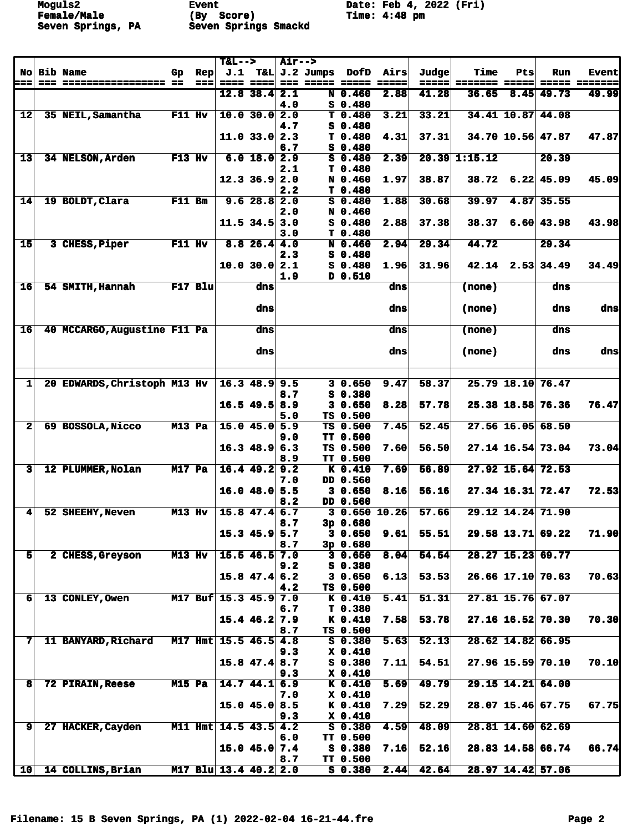**Female/Male (By Score) Time: 4:48 pm Seven Springs, PA Seven Springs Smackd** 

**Moguls2 Event Date: Feb 4, 2022 (Fri)**<br> **Female/Male** (By Score) **Date: Feb 4, 2022 (Fri)** 

|                         |         |                              |               |           | $T&L-->$              |                                       | <b>Air--&gt;</b> |                 |                                 |          |       |                 |     |                      |                      |
|-------------------------|---------|------------------------------|---------------|-----------|-----------------------|---------------------------------------|------------------|-----------------|---------------------------------|----------|-------|-----------------|-----|----------------------|----------------------|
|                         |         | No Bib Name                  | Gp.           | Rep       |                       |                                       |                  |                 | $J.1$ T&L $J.2$ Jumps DofD Airs |          | Judge | <b>Time</b>     | Pts | Run                  | <b>Event</b>         |
|                         | $= = =$ | ______________________       |               | ss = 1    |                       | $\qquad \qquad \qquad =\qquad \qquad$ |                  | === ===== ===== |                                 | $= 2222$ | == 1  |                 |     |                      | <b>===== =======</b> |
|                         |         |                              |               |           |                       | $12.8$ 38.4 2.1                       |                  |                 | N 0.460                         | 2.88     | 41.28 | 36.65           |     | $8.45$ 49.73         | 49.99                |
|                         |         |                              |               |           |                       |                                       | 4.0              |                 | $S$ 0.480                       |          |       |                 |     |                      |                      |
| 12                      |         | 35 NEIL, Samantha            | F11 Hv        |           |                       | $\overline{10.0}$ 30.0 2.0            |                  |                 | T <sub>0.480</sub>              | 3.21     | 33.21 |                 |     | 34.41 10.87 44.08    |                      |
|                         |         |                              |               |           |                       |                                       | 4.7              |                 | $S$ 0.480                       |          |       |                 |     |                      |                      |
|                         |         |                              |               |           |                       | 11.0 33.0 2.3                         |                  |                 | T 0.480                         | 4.31     | 37.31 |                 |     | 34.70 10.56 47.87    | 47.87                |
|                         |         |                              |               |           |                       |                                       | 6.7              |                 | $S$ 0.480                       |          |       |                 |     |                      |                      |
| 13                      |         | 34 NELSON, Arden             | <b>F13 Hv</b> |           |                       | $6.0$ 18.0 2.9                        |                  |                 | $S$ 0.480                       | 2.39     |       | $20.39$ 1:15.12 |     | 20.39                |                      |
|                         |         |                              |               |           |                       |                                       | 2.1              |                 | T 0.480                         |          |       |                 |     |                      |                      |
|                         |         |                              |               |           |                       | $12.3$ 36.9 2.0                       |                  |                 | N 0.460                         | 1.97     | 38.87 |                 |     | $38.72$ 6.22 45.09   | 45.09                |
|                         |         |                              |               |           |                       |                                       | 2.2              |                 | T 0.480                         |          |       |                 |     |                      |                      |
| 14                      |         | 19 BOLDT, Clara              | $F11$ Bm      |           |                       | 9.628.82.0                            |                  |                 | $S$ 0.480                       | 1.88     | 30.68 | 39.97           |     | 4.87 35.55           |                      |
|                         |         |                              |               |           |                       |                                       | 2.0              |                 | N 0.460                         |          |       |                 |     |                      |                      |
|                         |         |                              |               |           |                       | $11.5$ 34.5 3.0                       |                  |                 | $S$ 0.480                       | 2.88     | 37.38 | 38.37           |     | 6.60 43.98           | 43.98                |
|                         |         |                              |               |           |                       |                                       | 3.0              |                 | T 0.480                         |          |       |                 |     |                      |                      |
| 15 <sup>1</sup>         |         | 3 CHESS, Piper               | F11 Hv        |           |                       | $8.8$ 26.4 4.0                        |                  |                 | N 0.460                         | 2.94     | 29.34 | 44.72           |     | 29.34                |                      |
|                         |         |                              |               |           |                       |                                       | 2.3              |                 | $S_0, 480$                      |          |       |                 |     |                      |                      |
|                         |         |                              |               |           |                       | 10.0 30.0 2.1                         |                  |                 | $S$ 0.480                       | 1.96     | 31.96 |                 |     | $42.14$ $2.53$ 34.49 | 34.49                |
|                         |         |                              |               |           |                       |                                       | 1.9              |                 | D 0.510                         |          |       |                 |     |                      |                      |
| 16                      |         | 54 SMITH, Hannah             |               | $F17$ Blu |                       | dns                                   |                  |                 |                                 | dns      |       | (none)          |     | dns                  |                      |
|                         |         |                              |               |           |                       |                                       |                  |                 |                                 |          |       |                 |     |                      |                      |
|                         |         |                              |               |           |                       | dns                                   |                  |                 |                                 | dns      |       | (none)          |     | dns                  | dnsl                 |
|                         |         |                              |               |           |                       |                                       |                  |                 |                                 |          |       |                 |     |                      |                      |
| 16                      |         | 40 MCCARGO, Augustine F11 Pa |               |           |                       | dns                                   |                  |                 |                                 | dns      |       | (none)          |     | dns                  |                      |
|                         |         |                              |               |           |                       |                                       |                  |                 |                                 |          |       |                 |     |                      |                      |
|                         |         |                              |               |           |                       | dns                                   |                  |                 |                                 | dns      |       | (none)          |     | dns                  | dnsl                 |
|                         |         |                              |               |           |                       |                                       |                  |                 |                                 |          |       |                 |     |                      |                      |
|                         |         |                              |               |           |                       |                                       |                  |                 |                                 |          |       |                 |     |                      |                      |
| 1                       |         | 20 EDWARDS, Christoph M13 Hv |               |           | $16.3$ 48.9 9.5       |                                       |                  |                 | 30.650                          | 9.47     | 58.37 |                 |     | 25.79 18.10 76.47    |                      |
|                         |         |                              |               |           |                       |                                       | 8.7              |                 | $S$ 0.380                       |          |       |                 |     |                      |                      |
|                         |         |                              |               |           |                       | $16.5$ 49.5 8.9                       |                  |                 | 30.650                          | 8.28     | 57.78 |                 |     | 25.38 18.58 76.36    | 76.47                |
|                         |         |                              |               |           |                       |                                       | 5.0              |                 | TS 0.500                        |          |       |                 |     |                      |                      |
| $\mathbf{2}$            |         | 69 BOSSOLA, Nicco            | <b>M13 Pa</b> |           |                       | $15.0$ 45.0 5.9                       |                  |                 | TS 0.500                        | 7.45     | 52.45 |                 |     | 27.56 16.05 68.50    |                      |
|                         |         |                              |               |           |                       |                                       | 9.0              |                 | <b>TT 0.500</b>                 |          |       |                 |     |                      |                      |
|                         |         |                              |               |           |                       | $16.3$ 48.9 6.3                       |                  |                 | TS 0.500                        | 7.60     | 56.50 |                 |     | 27.14 16.54 73.04    | 73.04                |
|                         |         |                              |               |           |                       |                                       | 8.9              |                 | <b>TT 0.500</b>                 |          |       |                 |     |                      |                      |
| $\overline{\mathbf{3}}$ |         | 12 PLUMMER, Nolan            | <b>M17 Pa</b> |           |                       | $16.4$ 49.2 9.2                       |                  |                 | K 0.410                         | 7.69     | 56.89 |                 |     | 27.92 15.64 72.53    |                      |
|                         |         |                              |               |           |                       |                                       | 7.0              |                 | DD 0.560                        |          |       |                 |     |                      |                      |
|                         |         |                              |               |           |                       | $16.0$ 48.0 5.5                       |                  |                 | 30.650                          | 8.16     | 56.16 |                 |     | $27.34$ 16.31 72.47  | 72.53                |
|                         |         |                              |               |           |                       |                                       | 8.2              |                 | DD 0.560                        |          |       |                 |     |                      |                      |
| $\blacktriangleleft$    |         | 52 SHEEHY, Neven             | M13 Hv        |           |                       | $15.8$ 47.4 6.7                       |                  |                 | 3 0.650 10.26                   |          | 57.66 |                 |     | 29.12 14.24 71.90    |                      |
|                         |         |                              |               |           |                       |                                       | 8.7              |                 | 3p 0.680                        |          |       |                 |     |                      |                      |
|                         |         |                              |               |           |                       | $15.3$ 45.9 5.7                       |                  |                 | 30.650                          | 9.61     | 55.51 |                 |     | 29.58 13.71 69.22    | 71.90                |
|                         |         |                              |               |           |                       |                                       | 8.7              |                 | $3p$ 0.680                      |          |       |                 |     |                      |                      |
| $\overline{\mathbf{5}}$ |         | 2 CHESS, Greyson             | $M13$ Hv      |           |                       | $15.5$ 46.5 7.0                       |                  |                 | 30.650                          | 8.04     | 54.54 |                 |     | 28.27 15.23 69.77    |                      |
|                         |         |                              |               |           |                       |                                       | 9.2              |                 | $S_0.380$                       |          |       |                 |     |                      |                      |
|                         |         |                              |               |           |                       | $15.8$ 47.4 6.2                       |                  |                 | 30.650                          | 6.13     | 53.53 |                 |     | $26.66$ 17.10 70.63  | 70.63                |
|                         |         |                              |               |           |                       |                                       | 4.2              |                 | TS 0.500                        |          |       |                 |     |                      |                      |
| $6 \vert$               |         | 13 CONLEY, Owen              |               |           | M17 Buf 15.3 45.9 7.0 |                                       |                  |                 | $K$ 0.410                       | 5.41     | 51.31 |                 |     | $27.81$ 15.76 67.07  |                      |
|                         |         |                              |               |           |                       |                                       | 6.7              |                 | T 0.380                         |          |       |                 |     |                      |                      |
|                         |         |                              |               |           |                       | $15.4$ 46.2 7.9                       |                  |                 | K 0.410                         | 7.58     | 53.78 |                 |     | 27.16 16.52 70.30    | 70.30                |
|                         |         |                              |               |           |                       |                                       | 8.7              |                 | TS 0.500                        |          |       |                 |     |                      |                      |
| $\overline{7}$          |         | 11 BANYARD, Richard          |               |           | M17 Hmt 15.5 46.5 4.8 |                                       |                  |                 | $S_0.380$                       | 5.63     | 52.13 |                 |     | 28.62 14.82 66.95    |                      |
|                         |         |                              |               |           |                       |                                       | 9.3              |                 | $X_0.410$                       |          |       |                 |     |                      |                      |
|                         |         |                              |               |           |                       | $15.8$ 47.4 8.7                       |                  |                 | $S_0.380$                       | 7.11     | 54.51 |                 |     | 27.96 15.59 70.10    | 70.10                |
|                         |         |                              |               |           |                       |                                       | 9.3              |                 | x 0.410                         |          |       |                 |     |                      |                      |
| 8                       |         | 72 PIRAIN, Reese             | <b>M15 Pa</b> |           |                       | $14.7$ $44.1$ 6.9                     |                  |                 | $R$ 0.410                       | 5.69     | 49.79 |                 |     | $29.15$ 14.21 64.00  |                      |
|                         |         |                              |               |           |                       |                                       | 7.0              |                 | $X_0.410$                       |          |       |                 |     |                      |                      |
|                         |         |                              |               |           |                       | $15.0$ 45.0 8.5                       |                  |                 | $K_0.410$                       | 7.29     | 52.29 |                 |     | 28.07 15.46 67.75    | 67.75                |
|                         |         |                              |               |           |                       |                                       | 9.3              |                 | $X_0.410$                       |          |       |                 |     |                      |                      |
| 9                       |         | 27 HACKER, Cayden            |               | M11 Hmt   | $14.5$ 43.5 4.2       |                                       |                  |                 | $S_0.380$                       | 4.59     | 48.09 |                 |     | 28.81 14.60 62.69    |                      |
|                         |         |                              |               |           |                       |                                       | 6.0              |                 | <b>TT 0.500</b>                 |          |       |                 |     |                      |                      |
|                         |         |                              |               |           |                       | 15.045.07.4                           |                  |                 | $S$ 0.380                       | 7.16     | 52.16 |                 |     | 28.83 14.58 66.74    | 66.74                |
|                         |         |                              |               |           |                       |                                       | 8.7              |                 | <b>TT 0.500</b>                 |          |       |                 |     |                      |                      |
| 10                      |         | 14 COLLINS, Brian            |               |           | M17 Blu 13.4 40.2 2.0 |                                       |                  |                 | $S_0.380$                       | 2.44     | 42.64 |                 |     | 28.97 14.42 57.06    |                      |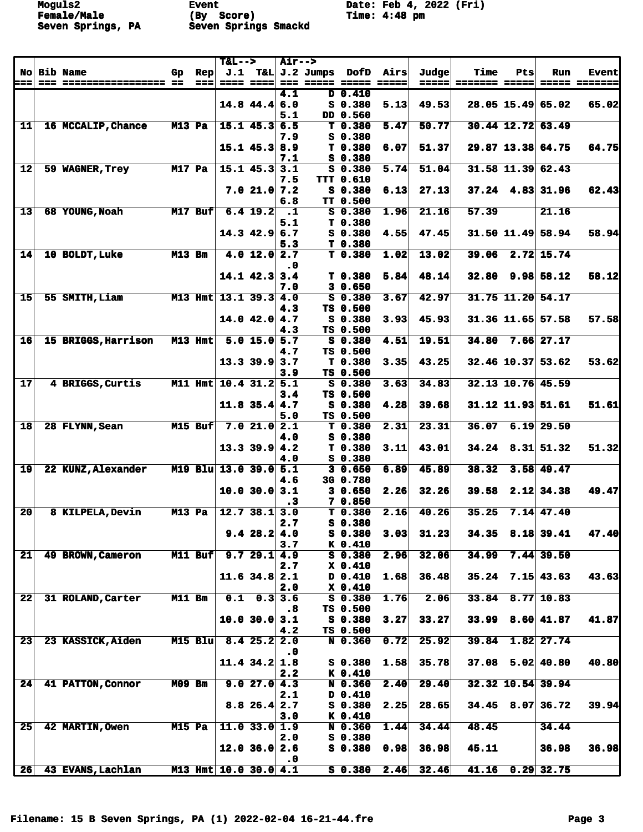**Female/Male (By Score) Time: 4:48 pm Seven Springs, PA Seven Springs Smackd** 

**Moguls2 Event Date: Feb 4, 2022 (Fri)**<br> **Female/Male** (By Score) **Date: Feb 4, 2022 (Fri)** 

|                 |                     |               |           | $T&L-->$              |                           | <b>Air--&gt;</b>       |           |                       |      |          |               |     |                         |                      |
|-----------------|---------------------|---------------|-----------|-----------------------|---------------------------|------------------------|-----------|-----------------------|------|----------|---------------|-----|-------------------------|----------------------|
|                 | No Bib Name         | Gp            | Rep       |                       | $J.1$ T&L                 |                        | J.2 Jumps | DofD                  | Airs | Judge    | Time          | Pts | Run                     | <b>Event</b>         |
| ===             |                     |               | saal      |                       | <b>==== ====</b>          |                        |           | --- ----- ----- ----- |      | $= 2222$ | ======= ===== |     |                         | <b>===== =======</b> |
|                 |                     |               |           |                       |                           | 4.1                    |           | $D$ 0.410             |      |          |               |     |                         |                      |
|                 |                     |               |           |                       | $14.8$ 44.4 6.0           |                        |           | $S$ 0.380             | 5.13 | 49.53    |               |     | 28.05 15.49 65.02       | 65.02                |
|                 |                     |               |           |                       |                           | 5.1                    |           | DD 0.560              |      |          |               |     |                         |                      |
| 11              | 16 MCCALIP, Chance  | $M13$ Pa      |           |                       | $15.1$ 45.3 6.5           |                        |           | T 0.380               | 5.47 | 50.77    |               |     | 30.44 12.72 63.49       |                      |
|                 |                     |               |           |                       |                           | 7.9                    |           | $S$ 0.380             |      |          |               |     |                         |                      |
|                 |                     |               |           |                       | $15.1$ 45.3 8.9           |                        |           | T <sub>0.380</sub>    | 6.07 | 51.37    |               |     | 29.87 13.38 64.75       | 64.75                |
|                 |                     |               |           |                       |                           | 7.1                    |           | $S$ 0.380             |      |          |               |     |                         |                      |
| 12              | 59 WAGNER, Trey     | $M17$ Pa      |           |                       | $15.1$ 45.3 3.1           |                        |           | $S$ 0.380             | 5.74 | 51.04    |               |     | $31.58$ $11.39$ $62.43$ |                      |
|                 |                     |               |           |                       |                           | 7.5                    |           | <b>TTT 0.610</b>      |      |          |               |     |                         |                      |
|                 |                     |               |           |                       | 7.021.07.2                |                        |           | $S$ 0.380             | 6.13 | 27.13    |               |     | $37.24$ 4.83 31.96      | 62.43                |
|                 |                     |               |           |                       |                           | 6.8                    |           | <b>TT 0.500</b>       |      |          |               |     |                         |                      |
| 13              | 68 YOUNG, Noah      |               | M17 Buf   |                       | $6.4$ 19.2                | $\cdot$ 1              |           | $S$ 0.380             | 1.96 | 21.16    | 57.39         |     | 21.16                   |                      |
|                 |                     |               |           |                       |                           | 5.1                    |           | T 0.380               |      |          |               |     |                         |                      |
|                 |                     |               |           |                       | $14.3$ 42.9               | 6.7                    |           | $S$ 0.380             | 4.55 | 47.45    |               |     | $31.50$ 11.49 58.94     | 58.94                |
|                 |                     |               |           |                       |                           | 5.3                    |           | T 0.380               |      |          |               |     |                         |                      |
| 14              | 10 BOLDT, Luke      | $M13$ Bm      |           |                       | 4.0 12.0                  | 2.7                    |           | T 0.380               | 1.02 | 13.02    | 39.06         |     | $2.72$ 15.74            |                      |
|                 |                     |               |           |                       |                           | $\cdot$ 0              |           |                       |      |          |               |     |                         |                      |
|                 |                     |               |           |                       | $14.1$ $42.3$             | 3.4                    |           | T <sub>0.380</sub>    | 5.84 | 48.14    | 32.80         |     | 9.98 58.12              | 58.12                |
|                 |                     |               |           |                       |                           | 7.0                    |           | 30.650                |      |          |               |     |                         |                      |
| 15              | 55 SMITH, Liam      |               |           | M13 Hmt 13.1 39.3 4.0 |                           |                        |           | $S$ 0.380             | 3.67 | 42.97    |               |     | 31.75 11.20 54.17       |                      |
|                 |                     |               |           |                       |                           | 4.3                    |           | TS 0.500              |      |          |               |     |                         |                      |
|                 |                     |               |           |                       | $14.0$ 42.0 4.7           |                        |           | $S$ 0.380             | 3.93 | 45.93    |               |     | 31.36 11.65 57.58       | 57.58                |
|                 |                     |               |           |                       |                           | 4.3                    |           | TS 0.500              |      |          |               |     |                         |                      |
| 16              | 15 BRIGGS, Harrison |               | $M13$ Hmt |                       | $5.0$ 15.0 5.7            |                        |           | $S$ 0.380             | 4.51 | 19.51    | 34.80         |     | $7.66$ 27.17            |                      |
|                 |                     |               |           |                       |                           | 4.7                    |           | TS 0.500              |      |          |               |     |                         |                      |
|                 |                     |               |           |                       | $13.3$ 39.9 3.7           |                        |           | T <sub>0.380</sub>    | 3.35 | 43.25    |               |     | 32.46 10.37 53.62       | 53.62                |
|                 |                     |               |           |                       |                           | 3.9                    |           | TS 0.500              |      |          |               |     |                         |                      |
| $\overline{17}$ | 4 BRIGGS, Curtis    |               | M11 Hmt   | $10.4$ 31.2 5.1       |                           |                        |           | $S$ 0.380             | 3.63 | 34.83    |               |     | 32.13 10.76 45.59       |                      |
|                 |                     |               |           |                       |                           | 3.4                    |           | TS 0.500              |      |          |               |     |                         |                      |
|                 |                     |               |           |                       | $11.8$ 35.4 4.7           |                        |           | $S_0.380$             | 4.28 | 39.68    |               |     | $31.12$ 11.93 51.61     | 51.61                |
|                 |                     |               |           |                       |                           | 5.0                    |           | TS 0.500              |      |          |               |     |                         |                      |
| 18              | 28 FLYNN, Sean      |               | M15 Buf   |                       | 7.021.02.1                |                        |           | T <sub>0.380</sub>    | 2.31 | 23.31    | 36.07         |     | $6.19$ 29.50            |                      |
|                 |                     |               |           |                       |                           | 4.0                    |           | $S$ 0.380             |      |          |               |     |                         |                      |
|                 |                     |               |           |                       | $13.3$ 39.9 4.2           |                        |           | T 0.380               | 3.11 | 43.01    | 34.24         |     | $8.31$ 51.32            | 51.32                |
|                 |                     |               |           |                       |                           | 4.0                    |           | S 0.380               |      |          |               |     |                         |                      |
| $\overline{19}$ | 22 KUNZ, Alexander  |               |           | M19 Blu 13.0 39.0 5.1 |                           |                        |           | 30.650                | 6.89 | 45.89    | 38.32         |     | $3.58$ 49.47            |                      |
|                 |                     |               |           |                       |                           | 4.6                    |           | 3G 0.780              |      |          |               |     |                         | 49.47                |
|                 |                     |               |           |                       | 10.0 30.0 3.1             |                        |           | 30.650<br>7 0.850     | 2.26 | 32.26    | 39.58         |     | $2.12 \mid 34.38$       |                      |
| 20              | 8 KILPELA, Devin    | <b>M13 Pa</b> |           |                       | 12.7 38.1                 | $\cdot$ 3<br>3.0       |           | T 0.380               | 2.16 | 40.26    | 35.25         |     | $7.14$ 47.40            |                      |
|                 |                     |               |           |                       |                           | 2.7                    |           | $S$ 0.380             |      |          |               |     |                         |                      |
|                 |                     |               |           |                       | 9.428.24.0                |                        |           |                       |      | 31.23    |               |     | $34.35$ 8.18 39.41      | 47.40                |
|                 |                     |               |           |                       |                           | 3.7                    |           | $S$ 0.380<br>K 0.410  | 3.03 |          |               |     |                         |                      |
| 21              | 49 BROWN, Cameron   |               | $M11$ Buf |                       | 9.729.14.9                |                        |           | $S$ 0.380             | 2.96 | 32.06    | 34.99         |     | $7.44$ 39.50            |                      |
|                 |                     |               |           |                       |                           | 2.7                    |           | $X$ 0.410             |      |          |               |     |                         |                      |
|                 |                     |               |           |                       | $11.6$ 34.8 2.1           |                        |           | D 0.410               | 1.68 | 36.48    |               |     | $35.24$ 7.15 43.63      | 43.63                |
|                 |                     |               |           |                       |                           | 2.0                    |           | $X$ 0.410             |      |          |               |     |                         |                      |
| 22              | 31 ROLAND, Carter   | M11 Bm        |           |                       | $0.1 \quad 0.3 \quad 3.6$ |                        |           | $S$ 0.380             | 1.76 | 2.06     | 33.84         |     | $8.77$ 10.83            |                      |
|                 |                     |               |           |                       |                           | $\boldsymbol{\cdot}$ 8 |           | TS 0.500              |      |          |               |     |                         |                      |
|                 |                     |               |           |                       | 10.0 30.0                 | 3.1                    |           | $S$ 0.380             | 3.27 | 33.27    | 33.99         |     | 8.60   41.87            | 41.87                |
|                 |                     |               |           |                       |                           | 4.2                    |           | TS 0.500              |      |          |               |     |                         |                      |
| 23 <sup>1</sup> | 23 KASSICK, Aiden   |               | $M15$ Blu |                       | 8.425.220                 |                        |           | N 0.360               | 0.72 | 25.92    | 39.84         |     | $1.82$ 27.74            |                      |
|                 |                     |               |           |                       |                           | $\cdot$ 0              |           |                       |      |          |               |     |                         |                      |
|                 |                     |               |           |                       | $11.4$ 34.2 1.8           |                        |           | S 0.380               | 1.58 | 35.78    | 37.08         |     | $5.02 \mid 40.80$       | 40.80                |
|                 |                     |               |           |                       |                           | 2.2                    |           | K 0.410               |      |          |               |     |                         |                      |
| 24              | 41 PATTON, Connor   | <b>M09 Bm</b> |           |                       | 9.027.04.3                |                        |           | N 0.360               | 2.40 | 29.40    |               |     | 32.32 10.54 39.94       |                      |
|                 |                     |               |           |                       |                           | 2.1                    |           | $D$ 0.410             |      |          |               |     |                         |                      |
|                 |                     |               |           |                       | $8.8$ 26.4 2.7            |                        |           | $S$ 0.380             | 2.25 | 28.65    |               |     | $34.45$ 8.07 36.72      | 39.94                |
|                 |                     |               |           |                       |                           | 3.0                    |           | K 0.410               |      |          |               |     |                         |                      |
| 25              | 42 MARTIN, Owen     | <b>M15 Pa</b> |           |                       | 11.0 33.0 1.9             |                        |           | N 0.360               | 1.44 | 34.44    | 48.45         |     | 34.44                   |                      |
|                 |                     |               |           |                       |                           | 2.0                    |           | $S_0.380$             |      |          |               |     |                         |                      |
|                 |                     |               |           |                       | 12.0 36.0 2.6             |                        |           | $S$ 0.380             | 0.98 | 36.98    | 45.11         |     | 36.98                   | 36.98                |
|                 |                     |               |           |                       |                           | $\cdot$ 0              |           |                       |      |          |               |     |                         |                      |
| 26              | 43 EVANS, Lachlan   |               |           | M13 Hmt 10.0 30.0 4.1 |                           |                        |           | $S$ 0.380             | 2.46 | 32.46    | 41.16         |     | $0.29$ 32.75            |                      |
|                 |                     |               |           |                       |                           |                        |           |                       |      |          |               |     |                         |                      |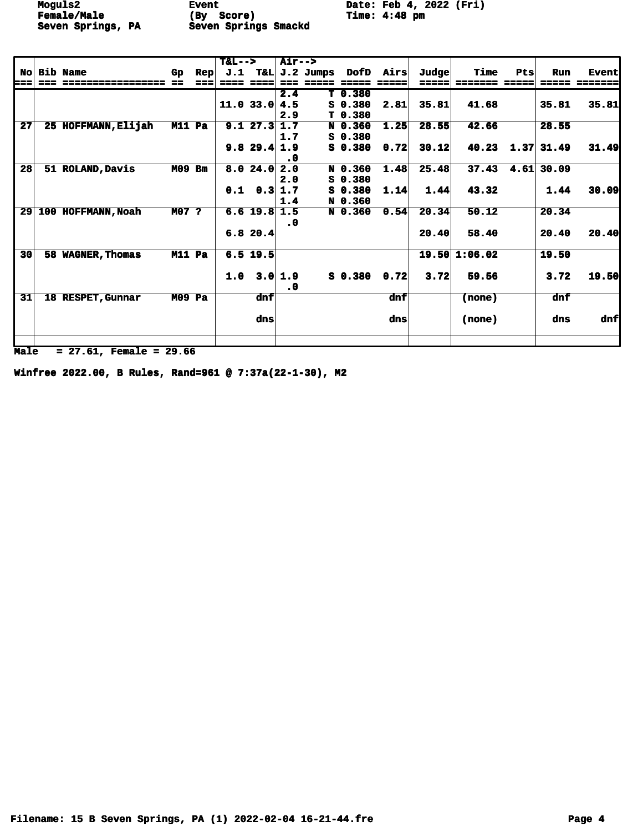**Female/Male (By Score) Time: 4:48 pm Seven Springs, PA Seven Springs Smackd** 

**Moguls2 Event Date: Feb 4, 2022 (Fri)**<br> **Female/Male** (By Score) **Date: Feb 4, 2022 (Fri)** 

|                 |                     |               |                | $T&L-->$ |                           | <b>Air--&gt;</b> |                             |                    |       |       |               |      |       |              |
|-----------------|---------------------|---------------|----------------|----------|---------------------------|------------------|-----------------------------|--------------------|-------|-------|---------------|------|-------|--------------|
|                 | No Bib Name         | <b>Gp</b>     | $\mathbf{Rep}$ |          |                           |                  | J.1 T&L J.2 Jumps DofD Airs |                    |       | Judge | Time          | Pts  | Run   | <b>Event</b> |
|                 |                     |               |                |          |                           |                  |                             |                    | :==== |       |               |      |       |              |
|                 |                     |               |                |          |                           | 2.4              |                             | T <sub>0.380</sub> |       |       |               |      |       |              |
|                 |                     |               |                |          | 11.0 33.0                 | 4.5              |                             | $S_0.380$          | 2.81  | 35.81 | 41.68         |      | 35.81 | 35.81        |
|                 |                     |               |                |          |                           | 2.9              |                             | T <sub>0.380</sub> |       |       |               |      |       |              |
| 27              | 25 HOFFMANN, Elijah | M11 Pa        |                |          | 9.127.31.7                |                  |                             | N 0.360            | 1.25  | 28.55 | 42.66         |      | 28.55 |              |
|                 |                     |               |                |          |                           | 1.7              |                             | $S_0.380$          |       |       |               |      |       |              |
|                 |                     |               |                |          | 9.829.41.9                |                  |                             | $S_0.380$          | 0.72  | 30.12 | 40.23         | 1.37 | 31.49 | 31.49        |
|                 |                     |               |                |          |                           | $\cdot$ 0        |                             |                    |       |       |               |      |       |              |
| 28              | 51 ROLAND, Davis    | <b>M09 Bm</b> |                |          | 8.024.0                   | 2.0              |                             | N 0.360            | 1.48  | 25.48 | 37.43         | 4.61 | 30.09 |              |
|                 |                     |               |                |          |                           | 2.0              |                             | $S_0.380$          |       |       |               |      |       |              |
|                 |                     |               |                |          | $0.1 \quad 0.3$           | 1.7              |                             | S 0.380            | 1.14  | 1.44  | 43.32         |      | 1.44  | 30.09        |
|                 |                     |               |                |          |                           | 1.4              |                             | N 0.360            |       |       |               |      |       |              |
| 29 <sup>1</sup> | 100 HOFFMANN, Noah  | M07 ?         |                |          | $6.6$ 19.8 1.5            |                  |                             | N 0.360            | 0.54  | 20.34 | 50.12         |      | 20.34 |              |
|                 |                     |               |                |          |                           | $\cdot$ 0        |                             |                    |       |       |               |      |       |              |
|                 |                     |               |                |          | 6.820.4                   |                  |                             |                    |       | 20.40 | 58.40         |      | 20.40 | 20.40        |
| 30              | 58 WAGNER, Thomas   | M11 Pa        |                |          | $6.5$ 19.5                |                  |                             |                    |       |       | 19.50 1:06.02 |      | 19.50 |              |
|                 |                     |               |                |          |                           |                  |                             |                    |       |       |               |      |       |              |
|                 |                     |               |                |          | $1.0 \quad 3.0 \quad 1.9$ | $\cdot$ 0        |                             | $S_0.380$          | 0.72  | 3.72  | 59.56         |      | 3.72  | 19.50        |
| 31              | 18 RESPET, Gunnar   | <b>M09 Pa</b> |                |          | dnf                       |                  |                             |                    | dnf   |       | (none)        |      | dnf   |              |
|                 |                     |               |                |          | dns                       |                  |                             |                    | dns   |       | (none)        |      | dns   | dnf          |
|                 |                     |               |                |          |                           |                  |                             |                    |       |       |               |      |       |              |
|                 |                     |               |                |          |                           |                  |                             |                    |       |       |               |      |       |              |

**Male = 27.61, Female = 29.66**

**Winfree 2022.00, B Rules, Rand=961 @ 7:37a(22-1-30), M2**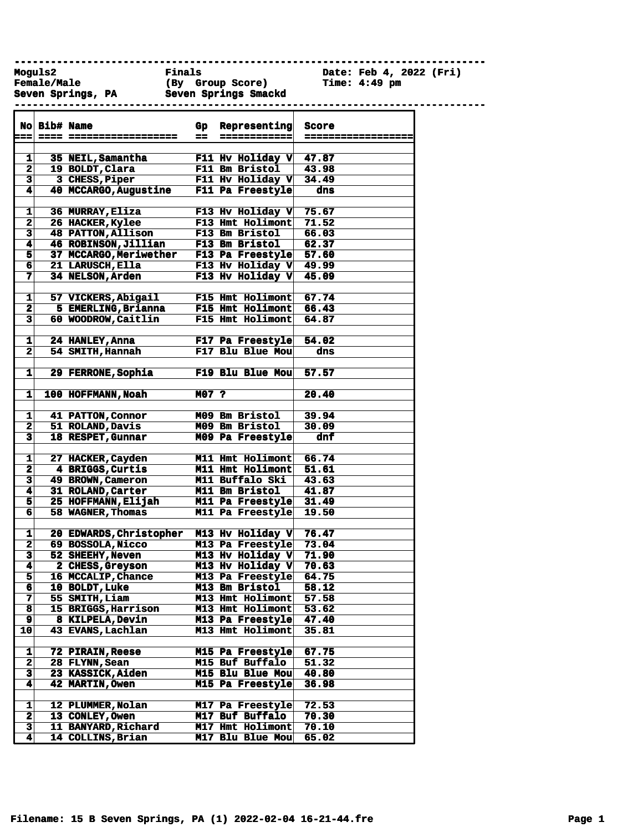**------------------------------------------------------------------------------**

**Female/Male (By Group Score) Time: 4:49 pm Seven Springs, PA Seven Springs Smackd** 

**Moguls2 Finals Date: Feb 4, 2022 (Fri)**

|                         | No Bib# Name |                                |       | Gp Representing        | <b>Score</b>            |
|-------------------------|--------------|--------------------------------|-------|------------------------|-------------------------|
| 12 S                    |              |                                | --    | ============           | ================        |
|                         |              |                                |       |                        |                         |
| $\mathbf{1}$            |              | 35 NEIL, Samantha              |       | F11 Hv Holiday V       | 47.87                   |
| $\overline{\mathbf{2}}$ |              | 19 BOLDT, Clara                |       | F11 Bm Bristol         | 43.98                   |
| 3                       |              | 3 CHESS, Piper                 |       | F11 Hv Holiday V       | 34.49                   |
| 4                       |              | 40 MCCARGO, Augustine          |       | F11 Pa Freestyle       | $\overline{\text{dns}}$ |
|                         |              |                                |       |                        |                         |
| $\mathbf{1}$            |              | 36 MURRAY, Eliza               |       | F13 Hv Holiday V       | 75.67                   |
| $\mathbf 2$             |              | 26 HACKER, Kylee               |       | F13 Hmt Holimont       | 71.52                   |
| 3                       |              | <b>48 PATTON, Allison</b>      |       | F13 Bm Bristol         | 66.03                   |
| 4                       |              | 46 ROBINSON, Jillian           |       | F13 Bm Bristol         | 62.37                   |
| $\overline{\mathbf{5}}$ |              | <b>37 MCCARGO, Meriwether</b>  |       | F13 Pa Freestyle       | 57.60                   |
| 6                       |              | 21 LARUSCH, Ella               |       | F13 Hv Holiday V       | 49.99                   |
| 7                       |              | <b>34 NELSON, Arden</b>        |       | F13 Hv Holiday V       | 45.09                   |
|                         |              |                                |       |                        |                         |
| $\overline{\mathbf{1}}$ |              | 57 VICKERS, Abigail            |       | F15 Hmt Holimont       | 67.74                   |
| $\mathbf 2$             |              | 5 EMERLING, Brianna            |       | F15 Hmt Holimont       | 66.43                   |
| $\overline{\mathbf{3}}$ |              | 60 WOODROW, Caitlin            |       | F15 Hmt Holimont       | 64.87                   |
|                         |              |                                |       |                        |                         |
| 1                       |              | 24 HANLEY, Anna                |       | F17 Pa Freestyle       | 54.02                   |
| $\overline{\mathbf{2}}$ |              | 54 SMITH, Hannah               |       | F17 Blu Blue Mou       | dns                     |
|                         |              |                                |       |                        |                         |
| 1                       |              | 29 FERRONE, Sophia             |       | F19 Blu Blue Mou       | 57.57                   |
|                         |              |                                |       |                        |                         |
| 1                       |              | 100 HOFFMANN, Noah             | M07 ? |                        | 20.40                   |
|                         |              |                                |       |                        |                         |
| 1                       |              | <b>41 PATTON, Connor</b>       |       | M09 Bm Bristol         | 39.94                   |
| $\overline{\mathbf{2}}$ |              | 51 ROLAND, Davis               |       | M09 Bm Bristol         | 30.09                   |
| $\overline{\mathbf{3}}$ |              | 18 RESPET, Gunnar              |       | M09 Pa Freestyle       | dnf                     |
|                         |              |                                |       |                        |                         |
| $\overline{\mathbf{1}}$ |              | 27 HACKER, Cayden              |       | M11 Hmt Holimont       | 66.74                   |
| $\mathbf 2$             |              | 4 BRIGGS, Curtis               |       | M11 Hmt Holimont       | 51.61                   |
| 3                       |              | 49 BROWN, Cameron              |       | <b>M11 Buffalo Ski</b> | 43.63                   |
| 4                       |              | 31 ROLAND, Carter              |       | M11 Bm Bristol         | 41.87                   |
| $\overline{\mathbf{5}}$ |              | 25 HOFFMANN, Elijah            |       | M11 Pa Freestyle       | 31.49                   |
| 6                       |              | 58 WAGNER, Thomas              |       | M11 Pa Freestyle       | 19.50                   |
|                         |              |                                |       |                        |                         |
| $\overline{\mathbf{1}}$ |              | <b>20 EDWARDS, Christopher</b> |       | M13 Hv Holiday V       | 76.47                   |
| $\mathbf 2$             |              | 69 BOSSOLA, Nicco              |       | M13 Pa Freestyle       | 73.04                   |
| 3                       |              | <b>52 SHEEHY, Neven</b>        |       | M13 Hv Holiday V       | 71.90                   |
| 4                       |              | 2 CHESS, Greyson               |       | M13 Hv Holiday V       | 70.63                   |
| 5                       |              | 16 MCCALIP, Chance             |       | M13 Pa Freestyle       | 64.75                   |
| 6                       |              | 10 BOLDT, Luke                 |       | M13 Bm Bristol         | 58.12                   |
| 7                       |              | 55 SMITH, Liam                 |       | M13 Hmt Holimont       | 57.58                   |
| $\overline{\mathbf{8}}$ |              | 15 BRIGGS, Harrison            |       | M13 Hmt Holimont       | 53.62                   |
| $\overline{9}$          |              | 8 KILPELA, Devin               |       | M13 Pa Freestyle       | 47.40                   |
| 10                      |              | 43 EVANS, Lachlan              |       | M13 Hmt Holimont       | 35.81                   |
|                         |              |                                |       |                        |                         |
| 1                       |              | 72 PIRAIN, Reese               |       | M15 Pa Freestyle       | 67.75                   |
| $\mathbf 2$             |              | 28 FLYNN, Sean                 |       | M15 Buf Buffalo        | 51.32                   |
| $\overline{\mathbf{3}}$ |              | 23 KASSICK, Aiden              |       | M15 Blu Blue Mou       | 40.80                   |
| 4                       |              | 42 MARTIN, Owen                |       | M15 Pa Freestyle       | 36.98                   |
|                         |              |                                |       |                        |                         |
| 1                       |              | 12 PLUMMER, Nolan              |       | M17 Pa Freestyle       | 72.53                   |
| $\overline{\mathbf{2}}$ |              | 13 CONLEY, Owen                |       | M17 Buf Buffalo        | 70.30                   |
| 3                       |              | 11 BANYARD, Richard            |       | M17 Hmt Holimont       | 70.10                   |
| 4                       |              | 14 COLLINS, Brian              |       | M17 Blu Blue Mou       | 65.02                   |
|                         |              |                                |       |                        |                         |